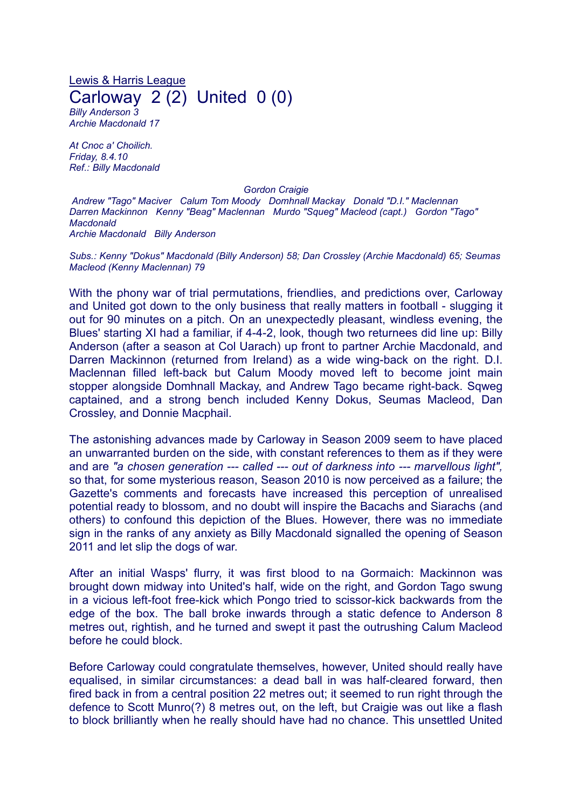Lewis & Harris League Carloway 2 (2) United 0 (0) *Billy Anderson 3 Archie Macdonald 17*

*At Cnoc a' Choilich. Friday, 8.4.10 Ref.: Billy Macdonald*

*Gordon Craigie*

*Andrew "Tago" Maciver Calum Tom Moody Domhnall Mackay Donald "D.I." Maclennan Darren Mackinnon Kenny "Beag" Maclennan Murdo "Squeg" Macleod (capt.) Gordon "Tago" Macdonald Archie Macdonald Billy Anderson*

*Subs.: Kenny "Dokus" Macdonald (Billy Anderson) 58; Dan Crossley (Archie Macdonald) 65; Seumas Macleod (Kenny Maclennan) 79*

With the phony war of trial permutations, friendlies, and predictions over, Carloway and United got down to the only business that really matters in football - slugging it out for 90 minutes on a pitch. On an unexpectedly pleasant, windless evening, the Blues' starting XI had a familiar, if 4-4-2, look, though two returnees did line up: Billy Anderson (after a season at Col Uarach) up front to partner Archie Macdonald, and Darren Mackinnon (returned from Ireland) as a wide wing-back on the right. D.I. Maclennan filled left-back but Calum Moody moved left to become joint main stopper alongside Domhnall Mackay, and Andrew Tago became right-back. Sqweg captained, and a strong bench included Kenny Dokus, Seumas Macleod, Dan Crossley, and Donnie Macphail.

The astonishing advances made by Carloway in Season 2009 seem to have placed an unwarranted burden on the side, with constant references to them as if they were and are *"a chosen generation --- called --- out of darkness into --- marvellous light",* so that, for some mysterious reason, Season 2010 is now perceived as a failure; the Gazette's comments and forecasts have increased this perception of unrealised potential ready to blossom, and no doubt will inspire the Bacachs and Siarachs (and others) to confound this depiction of the Blues. However, there was no immediate sign in the ranks of any anxiety as Billy Macdonald signalled the opening of Season 2011 and let slip the dogs of war.

After an initial Wasps' flurry, it was first blood to na Gormaich: Mackinnon was brought down midway into United's half, wide on the right, and Gordon Tago swung in a vicious left-foot free-kick which Pongo tried to scissor-kick backwards from the edge of the box. The ball broke inwards through a static defence to Anderson 8 metres out, rightish, and he turned and swept it past the outrushing Calum Macleod before he could block.

Before Carloway could congratulate themselves, however, United should really have equalised, in similar circumstances: a dead ball in was half-cleared forward, then fired back in from a central position 22 metres out; it seemed to run right through the defence to Scott Munro(?) 8 metres out, on the left, but Craigie was out like a flash to block brilliantly when he really should have had no chance. This unsettled United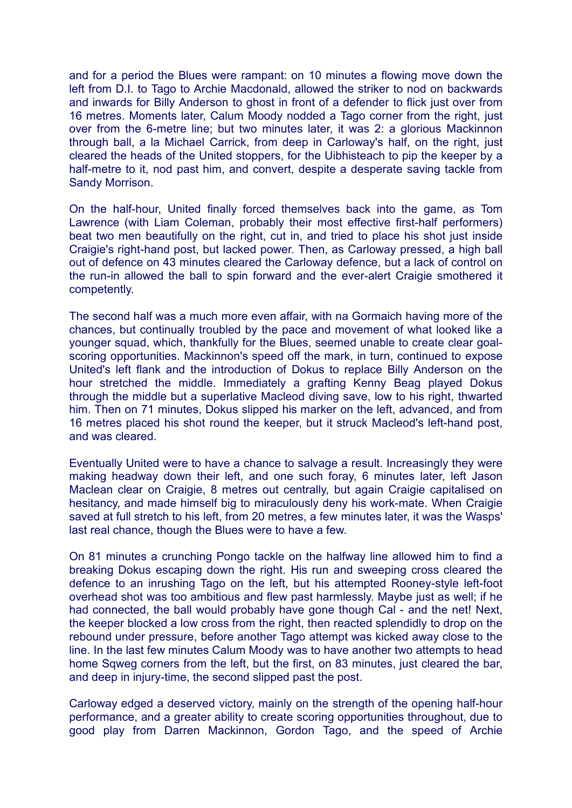and for a period the Blues were rampant: on 10 minutes a flowing move down the left from D.I. to Tago to Archie Macdonald, allowed the striker to nod on backwards and inwards for Billy Anderson to ghost in front of a defender to flick just over from 16 metres. Moments later, Calum Moody nodded a Tago corner from the right, just over from the 6-metre line; but two minutes later, it was 2: a glorious Mackinnon through ball, a la Michael Carrick, from deep in Carloway's half, on the right, just cleared the heads of the United stoppers, for the Uibhisteach to pip the keeper by a half-metre to it, nod past him, and convert, despite a desperate saving tackle from Sandy Morrison.

On the half-hour, United finally forced themselves back into the game, as Tom Lawrence (with Liam Coleman, probably their most effective first-half performers) beat two men beautifully on the right, cut in, and tried to place his shot just inside Craigie's right-hand post, but lacked power. Then, as Carloway pressed, a high ball out of defence on 43 minutes cleared the Carloway defence, but a lack of control on the run-in allowed the ball to spin forward and the ever-alert Craigie smothered it competently.

The second half was a much more even affair, with na Gormaich having more of the chances, but continually troubled by the pace and movement of what looked like a younger squad, which, thankfully for the Blues, seemed unable to create clear goalscoring opportunities. Mackinnon's speed off the mark, in turn, continued to expose United's left flank and the introduction of Dokus to replace Billy Anderson on the hour stretched the middle. Immediately a grafting Kenny Beag played Dokus through the middle but a superlative Macleod diving save, low to his right, thwarted him. Then on 71 minutes, Dokus slipped his marker on the left, advanced, and from 16 metres placed his shot round the keeper, but it struck Macleod's left-hand post, and was cleared.

Eventually United were to have a chance to salvage a result. Increasingly they were making headway down their left, and one such foray, 6 minutes later, left Jason Maclean clear on Craigie, 8 metres out centrally, but again Craigie capitalised on hesitancy, and made himself big to miraculously deny his work-mate. When Craigie saved at full stretch to his left, from 20 metres, a few minutes later, it was the Wasps' last real chance, though the Blues were to have a few.

On 81 minutes a crunching Pongo tackle on the halfway line allowed him to find a breaking Dokus escaping down the right. His run and sweeping cross cleared the defence to an inrushing Tago on the left, but his attempted Rooney-style left-foot overhead shot was too ambitious and flew past harmlessly. Maybe just as well; if he had connected, the ball would probably have gone though Cal - and the net! Next, the keeper blocked a low cross from the right, then reacted splendidly to drop on the rebound under pressure, before another Tago attempt was kicked away close to the line. In the last few minutes Calum Moody was to have another two attempts to head home Sqweg corners from the left, but the first, on 83 minutes, just cleared the bar, and deep in injury-time, the second slipped past the post.

Carloway edged a deserved victory, mainly on the strength of the opening half-hour performance, and a greater ability to create scoring opportunities throughout, due to good play from Darren Mackinnon, Gordon Tago, and the speed of Archie